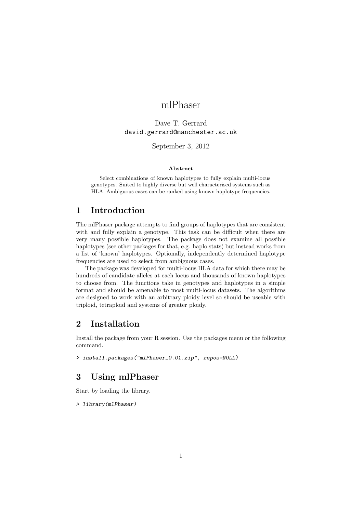# mlPhaser

### Dave T. Gerrard david.gerrard@manchester.ac.uk

September 3, 2012

#### Abstract

Select combinations of known haplotypes to fully explain multi-locus genotypes. Suited to highly diverse but well characterised systems such as HLA. Ambiguous cases can be ranked using known haplotype frequencies.

## 1 Introduction

The mlPhaser package attempts to find groups of haplotypes that are consistent with and fully explain a genotype. This task can be difficult when there are very many possible haplotypes. The package does not examine all possible haplotypes (see other packages for that, e.g. haplo.stats) but instead works from a list of 'known' haplotypes. Optionally, independently determined haplotype frequencies are used to select from ambiguous cases.

The package was developed for multi-locus HLA data for which there may be hundreds of candidate alleles at each locus and thousands of known haplotypes to choose from. The functions take in genotypes and haplotypes in a simple format and should be amenable to most multi-locus datasets. The algorithms are designed to work with an arbitrary ploidy level so should be useable with triploid, tetraploid and systems of greater ploidy.

## 2 Installation

Install the package from your R session. Use the packages menu or the following command.

```
> install.packages("mlPhaser_0.01.zip", repos=NULL)
```
## 3 Using mlPhaser

Start by loading the library.

> library(mlPhaser)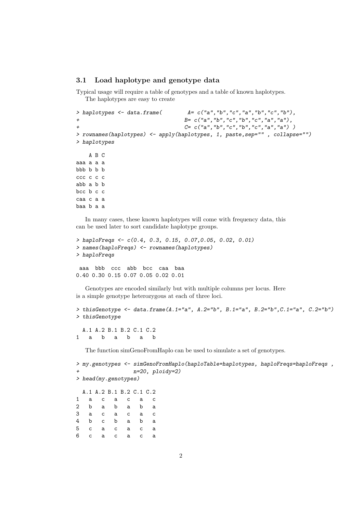### 3.1 Load haplotype and genotype data

Typical usage will require a table of genotypes and a table of known haplotypes. The haplotypes are easy to create

```
> haplotypes <- data.frame(A = c("a", "b", "c", "a", "b", "c", "b"),+ B= c("a","b","c","b","c","a","a"),
+ C= c("a","b","c","b","c","a","a") )
> rownames(haplotypes) <- apply(haplotypes, 1, paste,sep="" , collapse="")
> haplotypes
   A B C
aaa a a a
bbb b b b
ccc c c c
abb a b b
bcc b c c
caa c a a
baa b a a
```
In many cases, these known haplotypes will come with frequency data, this can be used later to sort candidate haplotype groups.

```
> haploFreqs <- c(0.4, 0.3, 0.15, 0.07,0.05, 0.02, 0.01)
> names(haploFreqs) <- rownames(haplotypes)
> haploFreqs
aaa bbb ccc abb bcc caa baa
0.40 0.30 0.15 0.07 0.05 0.02 0.01
```
1 a b a b a b

Genotypes are encoded similarly but with multiple columns per locus. Here is a simple genotype heterozygous at each of three loci.

```
> thisGenotype \leq data.frame(A.1="a", A.2="b", B.1="a", B.2="b", C.1="a", C.2="b")
> thisGenotype
 A.1 A.2 B.1 B.2 C.1 C.2
```
The function simGenoFromHaplo can be used to simulate a set of genotypes.

```
> my.genotypes <- simGenoFromHaplo(haploTable=haplotypes, haploFreqs=haploFreqs ,
+ n=20, ploidy=2)
> head(my.genotypes)
 A.1 A.2 B.1 B.2 C.1 C.2
1 a c a c a c
2 b a b a b a
3 a c a c a c
4 b c b a b a
5 c a c a c a
6 c a c a c a
```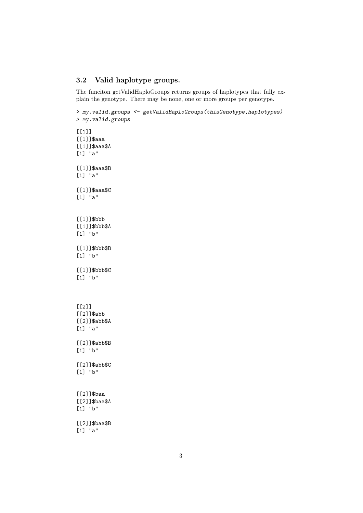### 3.2 Valid haplotype groups.

The funciton getValidHaploGroups returns groups of haplotypes that fully explain the genotype. There may be none, one or more groups per genotype.

> my.valid.groups <- getValidHaploGroups(thisGenotype,haplotypes) > my.valid.groups  $[[1]$ ] [[1]]\$aaa [[1]]\$aaa\$A [1] "a" [[1]]\$aaa\$B [1] "a" [[1]]\$aaa\$C [1] "a" [[1]]\$bbb [[1]]\$bbb\$A [1] "b" [[1]]\$bbb\$B [1] "b" [[1]]\$bbb\$C [1] "b"  $[$ [2]] [[2]]\$abb [[2]]\$abb\$A [1] "a" [[2]]\$abb\$B [1] "b" [[2]]\$abb\$C [1] "b" [[2]]\$baa [[2]]\$baa\$A [1] "b" [[2]]\$baa\$B

[1] "a"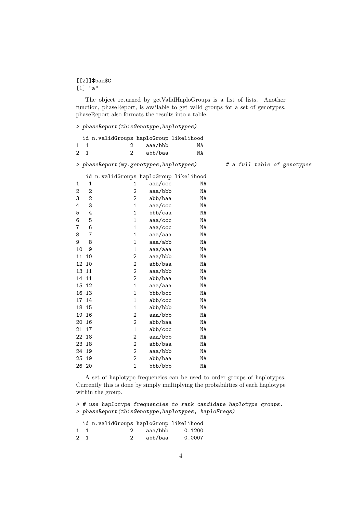#### [[2]]\$baa\$C [1] "a"

The object returned by getValidHaploGroups is a list of lists. Another function, phaseReport, is available to get valid groups for a set of genotypes. phaseReport also formats the results into a table.

### > phaseReport(thisGenotype,haplotypes)

| id n.validGroups haploGroup likelihood |                |                                        |         |    |  |  |
|----------------------------------------|----------------|----------------------------------------|---------|----|--|--|
| 1                                      | 1              | 2                                      | aaa/bbb | ΝA |  |  |
| $\overline{2}$                         | $\mathbf{1}$   | $\overline{2}$                         | abb/baa | NA |  |  |
| > phaseReport(my.genotypes,haplotypes) |                |                                        |         |    |  |  |
|                                        |                | id n.validGroups haploGroup likelihood |         |    |  |  |
| 1                                      | 1              | 1                                      | aaa/ccc | ΝA |  |  |
| $\overline{2}$                         | 2              | $\overline{2}$                         | aaa/bbb | NA |  |  |
| 3                                      | 2              | 2                                      | abb/baa | NA |  |  |
| 4                                      | 3              | $\mathbf{1}$                           | aaa/ccc | NA |  |  |
| 5                                      | 4              | 1                                      | bbb/caa | NA |  |  |
| 6                                      | 5              | 1                                      | aaa/ccc | ΝA |  |  |
| $\overline{7}$                         | 6              | $\mathbf{1}$                           | aaa/ccc | NA |  |  |
| 8                                      | $\overline{7}$ | $\mathbf{1}$                           | aaa/aaa | NA |  |  |
| 9                                      | 8              | $\mathbf 1$                            | aaa/abb | ΝA |  |  |
| 10                                     | 9              | $\mathbf 1$                            | aaa/aaa | ΝA |  |  |
| 11                                     | 10             | 2                                      | aaa/bbb | ΝA |  |  |
| 12                                     | 10             | 2                                      | abb/baa | NA |  |  |
| 13                                     | 11             | 2                                      | aaa/bbb | NA |  |  |
|                                        | 14 11          | $\overline{2}$                         | abb/baa | NA |  |  |
|                                        | 15 12          | $\mathbf{1}$                           | aaa/aaa | NA |  |  |
| 16                                     | 13             | $\mathbf 1$                            | bbb/bcc | ΝA |  |  |
|                                        | 17 14          | 1                                      | abb/ccc | NA |  |  |
| 18                                     | 15             | $\mathbf{1}$                           | abb/bbb | NA |  |  |
| 19                                     | 16             | 2                                      | aaa/bbb | NA |  |  |
|                                        | 20 16          | $\overline{c}$                         | abb/baa | NA |  |  |
| 21                                     | 17             | $\mathbf 1$                            | abb/ccc | ΝA |  |  |
| 22                                     | 18             | 2                                      | aaa/bbb | ΝA |  |  |
| 23                                     | 18             | 2                                      | abb/baa | NA |  |  |
|                                        | 24 19          | $\overline{2}$                         | aaa/bbb | NA |  |  |
| 25                                     | 19             | $\overline{c}$                         | abb/baa | ΝA |  |  |
|                                        | 26 20          | $\overline{1}$                         | bbb/bbb | ΝA |  |  |

A set of haplotype frequencies can be used to order groups of haplotypes. Currently this is done by simply multiplying the probabilities of each haplotype within the group.

> # use haplotype frequencies to rank candidate haplotype groups. > phaseReport(thisGenotype,haplotypes, haploFreqs)

|             | id n.validGroups haploGroup likelihood |           |                  |
|-------------|----------------------------------------|-----------|------------------|
| $1 \quad 1$ |                                        |           | 2 aaa/bbb 0.1200 |
| $2 \quad 1$ |                                        | 2 abb/baa | 0.0007           |

### # a full table of genotypes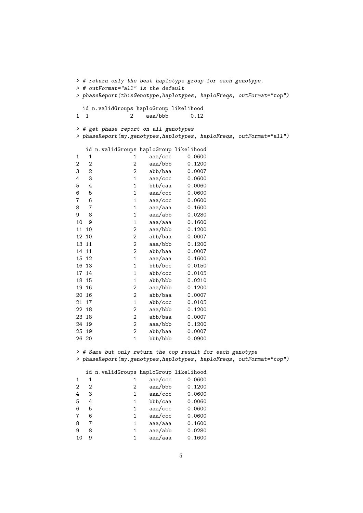```
> # return only the best haplotype group for each genotype.
> # outFormat="all" is the default
> phaseReport(thisGenotype,haplotypes, haploFreqs, outFormat="top")
 id n.validGroups haploGroup likelihood
1 1 2 aaa/bbb 0.12
> # get phase report on all genotypes
> phaseReport(my.genotypes,haplotypes, haploFreqs, outFormat="all")
  id n.validGroups haploGroup likelihood
1 1 1 aaa/ccc 0.0600
2 2 aaa/bbb 0.1200<br>3 2 2 abb/baa 0.0007
3 2 abb/baa
4 3 1 aaa/ccc 0.0600
5 4 1 bbb/caa 0.0060
6 5 1 aaa/ccc 0.0600
7 6 1 aaa/ccc 0.0600
8 7 1 aaa/aaa 0.1600
9 8 1 aaa/abb 0.0280
10 9 1 aaa/aaa 0.1600
11 10 2 aaa/bbb 0.1200
           2 abb/baa
13 11 2 aaa/bbb 0.1200
14 11 2 abb/baa 0.0007<br>15 12 1 aaa/aaa 0.1600
15 12 1 aaa/aaa
16 13 1 bbb/bcc 0.0150
17 14 1 abb/ccc 0.0105
18 15 1 abb/bbb 0.0210
19 16 2 aaa/bbb 0.1200
20 16 2 abb/baa 0.0007
21 17 1 abb/ccc 0.0105
22 18 2 aaa/bbb 0.1200
23 18 2 abb/baa 0.0007
           2 aaa/bbb 0.1200
25 19 2 abb/baa 0.0007
26 20 1 bbb/bbb 0.0900
```
> # Same but only return the top result for each genotype > phaseReport(my.genotypes,haplotypes, haploFreqs, outFormat="top")

|    |                   | id n.validGroups haploGroup likelihood |         |        |
|----|-------------------|----------------------------------------|---------|--------|
| 1  | 1                 |                                        | aaa/ccc | 0.0600 |
| 2  | $\mathcal{D}_{1}$ | 2                                      | aaa/bbb | 0.1200 |
| 4  | 3                 | 1                                      | aaa/ccc | 0.0600 |
| 5  | 4                 | 1                                      | bbb/caa | 0.0060 |
| 6  | 5                 | 1                                      | aaa/ccc | 0.0600 |
| 7  | 6                 | 1                                      | aaa/ccc | 0.0600 |
| 8  | 7                 | 1                                      | aaa/aaa | 0.1600 |
| 9  | 8                 | 1                                      | aaa/abb | 0.0280 |
| 10 | 9                 | 1                                      | aaa/aaa | 0.1600 |